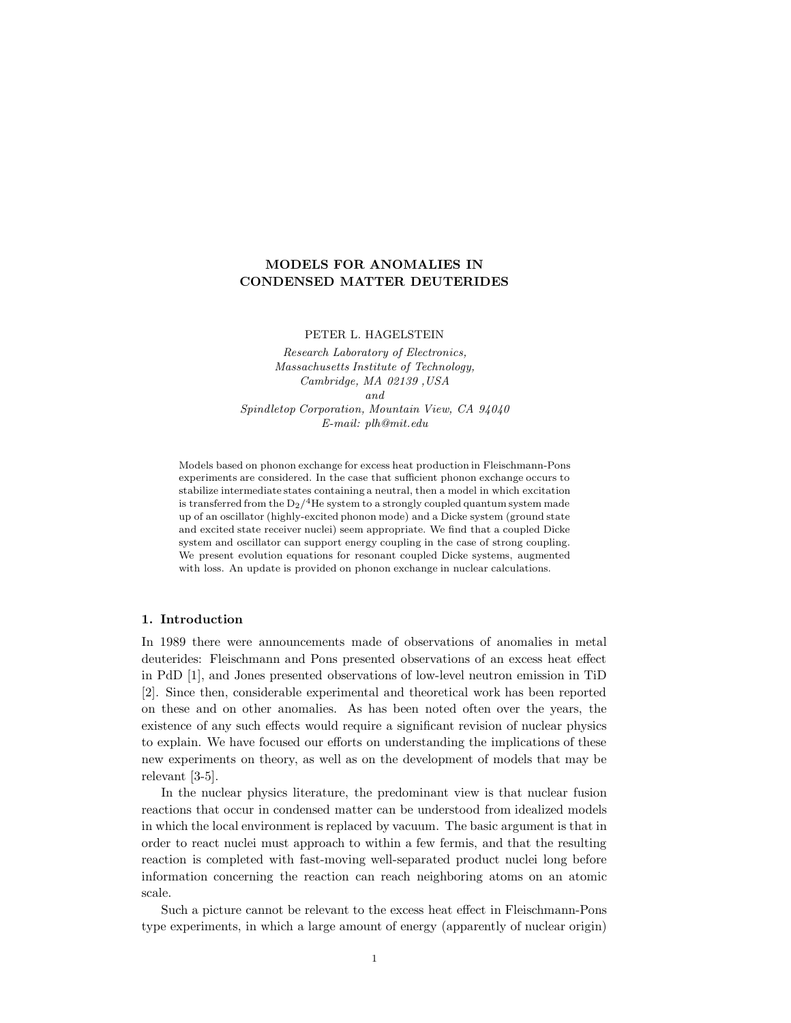# **MODELS FOR ANOMALIES IN CONDENSED MATTER DEUTERIDES**

PETER L. HAGELSTEIN

*Research Laboratory of Electronics, Massachusetts Institute of Technology, Cambridge, MA 02139 ,USA and Spindletop Corporation, Mountain View, CA 94040 E-mail: plh@mit.edu*

Models based on phonon exchange for excess heat production in Fleischmann-Pons experiments are considered. In the case that sufficient phonon exchange occurs to stabilize intermediate states containing a neutral, then a model in which excitation is transferred from the  $D_2/4$ He system to a strongly coupled quantum system made up of an oscillator (highly-excited phonon mode) and a Dicke system (ground state and excited state receiver nuclei) seem appropriate. We find that a coupled Dicke system and oscillator can support energy coupling in the case of strong coupling. We present evolution equations for resonant coupled Dicke systems, augmented with loss. An update is provided on phonon exchange in nuclear calculations.

# **1. Introduction**

In 1989 there were announcements made of observations of anomalies in metal deuterides: Fleischmann and Pons presented observations of an excess heat effect in PdD [1], and Jones presented observations of low-level neutron emission in TiD [2]. Since then, considerable experimental and theoretical work has been reported on these and on other anomalies. As has been noted often over the years, the existence of any such effects would require a significant revision of nuclear physics to explain. We have focused our efforts on understanding the implications of these new experiments on theory, as well as on the development of models that may be relevant [3-5].

In the nuclear physics literature, the predominant view is that nuclear fusion reactions that occur in condensed matter can be understood from idealized models in which the local environment is replaced by vacuum. The basic argument is that in order to react nuclei must approach to within a few fermis, and that the resulting reaction is completed with fast-moving well-separated product nuclei long before information concerning the reaction can reach neighboring atoms on an atomic scale.

Such a picture cannot be relevant to the excess heat effect in Fleischmann-Pons type experiments, in which a large amount of energy (apparently of nuclear origin)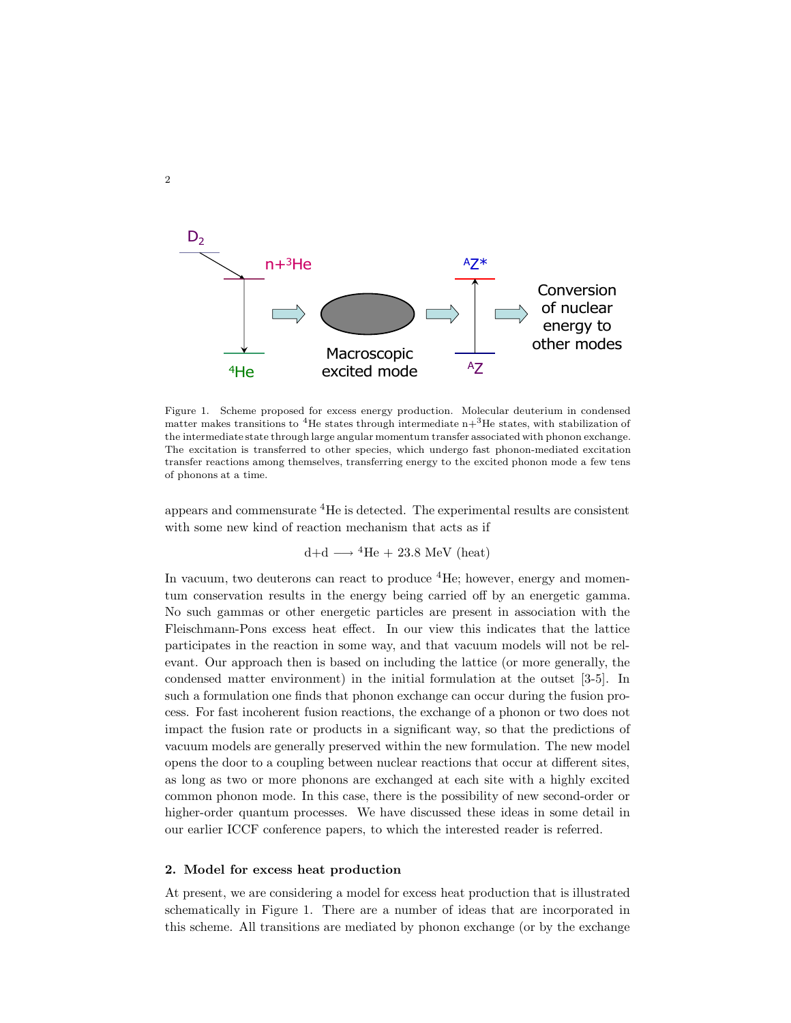

Figure 1. Scheme proposed for excess energy production. Molecular deuterium in condensed matter makes transitions to <sup>4</sup>He states through intermediate  $n+3$ He states, with stabilization of the intermediate state through large angular momentum transfer associated with phonon exchange. The excitation is transferred to other species, which undergo fast phonon-mediated excitation transfer reactions among themselves, transferring energy to the excited phonon mode a few tens of phonons at a time.

appears and commensurate <sup>4</sup>He is detected. The experimental results are consistent with some new kind of reaction mechanism that acts as if

$$
d+d \longrightarrow {}^{4}\text{He} + 23.8 \text{ MeV (heat)}
$$

In vacuum, two deuterons can react to produce <sup>4</sup>He; however, energy and momentum conservation results in the energy being carried off by an energetic gamma. No such gammas or other energetic particles are present in association with the Fleischmann-Pons excess heat effect. In our view this indicates that the lattice participates in the reaction in some way, and that vacuum models will not be relevant. Our approach then is based on including the lattice (or more generally, the condensed matter environment) in the initial formulation at the outset [3-5]. In such a formulation one finds that phonon exchange can occur during the fusion process. For fast incoherent fusion reactions, the exchange of a phonon or two does not impact the fusion rate or products in a significant way, so that the predictions of vacuum models are generally preserved within the new formulation. The new model opens the door to a coupling between nuclear reactions that occur at different sites, as long as two or more phonons are exchanged at each site with a highly excited common phonon mode. In this case, there is the possibility of new second-order or higher-order quantum processes. We have discussed these ideas in some detail in our earlier ICCF conference papers, to which the interested reader is referred.

# **2. Model for excess heat production**

2

At present, we are considering a model for excess heat production that is illustrated schematically in Figure 1. There are a number of ideas that are incorporated in this scheme. All transitions are mediated by phonon exchange (or by the exchange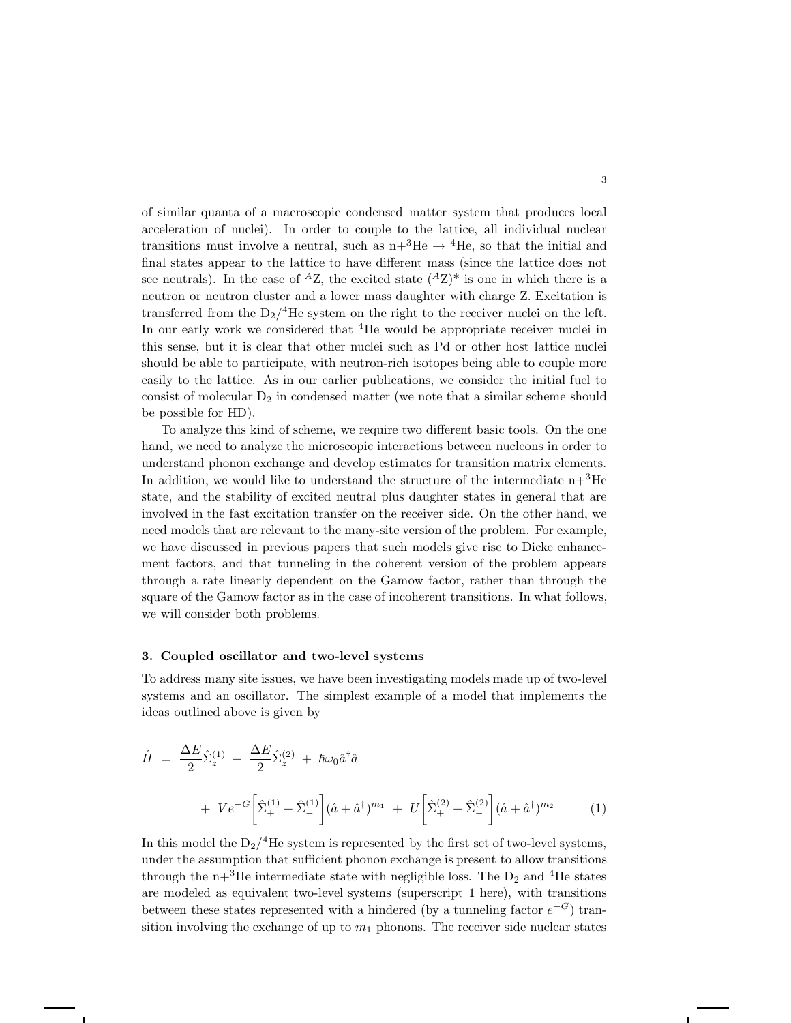of similar quanta of a macroscopic condensed matter system that produces local acceleration of nuclei). In order to couple to the lattice, all individual nuclear transitions must involve a neutral, such as  $n+3He \rightarrow 4He$ , so that the initial and final states appear to the lattice to have different mass (since the lattice does not see neutrals). In the case of <sup>A</sup>Z, the excited state  $(^{A}Z)^{*}$  is one in which there is a neutron or neutron cluster and a lower mass daughter with charge Z. Excitation is transferred from the  $D_2/4$ He system on the right to the receiver nuclei on the left. In our early work we considered that <sup>4</sup>He would be appropriate receiver nuclei in this sense, but it is clear that other nuclei such as Pd or other host lattice nuclei should be able to participate, with neutron-rich isotopes being able to couple more easily to the lattice. As in our earlier publications, we consider the initial fuel to consist of molecular  $D_2$  in condensed matter (we note that a similar scheme should be possible for HD).

To analyze this kind of scheme, we require two different basic tools. On the one hand, we need to analyze the microscopic interactions between nucleons in order to understand phonon exchange and develop estimates for transition matrix elements. In addition, we would like to understand the structure of the intermediate  $n+3He$ state, and the stability of excited neutral plus daughter states in general that are involved in the fast excitation transfer on the receiver side. On the other hand, we need models that are relevant to the many-site version of the problem. For example, we have discussed in previous papers that such models give rise to Dicke enhancement factors, and that tunneling in the coherent version of the problem appears through a rate linearly dependent on the Gamow factor, rather than through the square of the Gamow factor as in the case of incoherent transitions. In what follows, we will consider both problems.

#### **3. Coupled oscillator and two-level systems**

To address many site issues, we have been investigating models made up of two-level systems and an oscillator. The simplest example of a model that implements the ideas outlined above is given by

$$
\hat{H} = \frac{\Delta E}{2} \hat{\Sigma}_z^{(1)} + \frac{\Delta E}{2} \hat{\Sigma}_z^{(2)} + \hbar \omega_0 \hat{a}^\dagger \hat{a} \n+ V e^{-G} \left[ \hat{\Sigma}_+^{(1)} + \hat{\Sigma}_-^{(1)} \right] (\hat{a} + \hat{a}^\dagger)^{m_1} + U \left[ \hat{\Sigma}_+^{(2)} + \hat{\Sigma}_-^{(2)} \right] (\hat{a} + \hat{a}^\dagger)^{m_2}
$$
\n(1)

In this model the  $D_2/4$ He system is represented by the first set of two-level systems, under the assumption that sufficient phonon exchange is present to allow transitions through the n+<sup>3</sup>He intermediate state with negligible loss. The  $D_2$  and <sup>4</sup>He states are modeled as equivalent two-level systems (superscript 1 here), with transitions between these states represented with a hindered (by a tunneling factor  $e^{-G}$ ) transition involving the exchange of up to  $m_1$  phonons. The receiver side nuclear states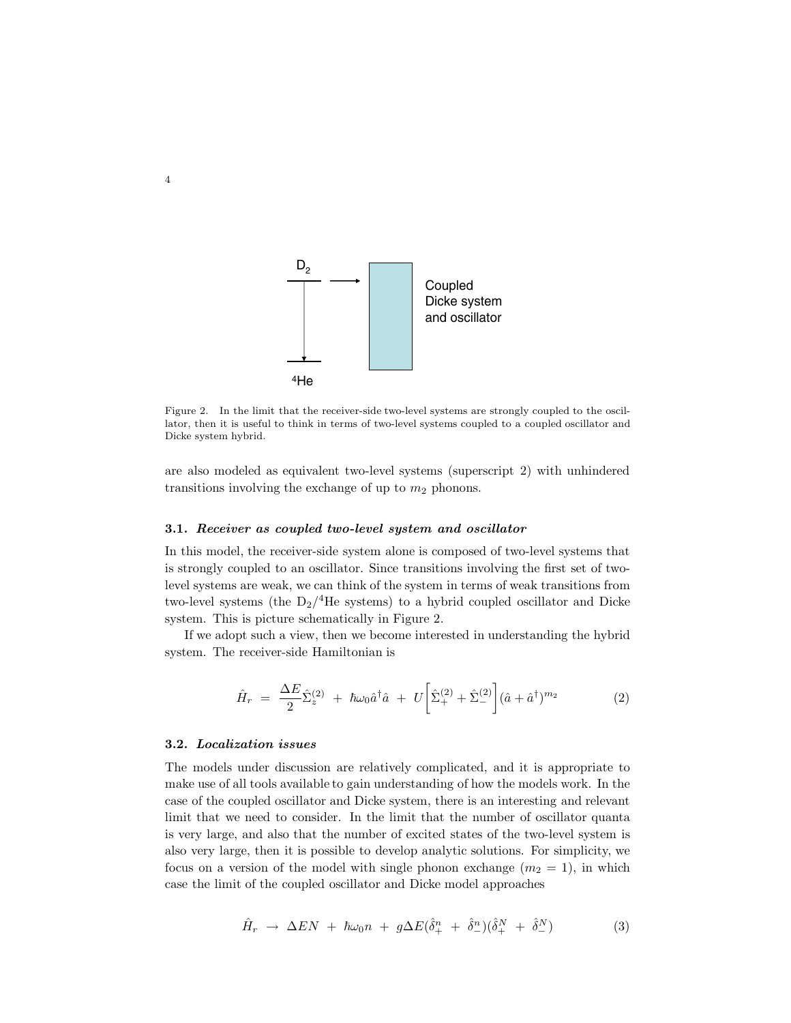

Figure 2. In the limit that the receiver-side two-level systems are strongly coupled to the oscillator, then it is useful to think in terms of two-level systems coupled to a coupled oscillator and Dicke system hybrid.

are also modeled as equivalent two-level systems (superscript 2) with unhindered transitions involving the exchange of up to  $m_2$  phonons.

## **3.1.** *Receiver as coupled two-level system and oscillator*

In this model, the receiver-side system alone is composed of two-level systems that is strongly coupled to an oscillator. Since transitions involving the first set of twolevel systems are weak, we can think of the system in terms of weak transitions from two-level systems (the  $D_2/4$ He systems) to a hybrid coupled oscillator and Dicke system. This is picture schematically in Figure 2.

If we adopt such a view, then we become interested in understanding the hybrid system. The receiver-side Hamiltonian is

$$
\hat{H}_r = \frac{\Delta E}{2} \hat{\Sigma}_z^{(2)} + \hbar \omega_0 \hat{a}^\dagger \hat{a} + U \left[ \hat{\Sigma}_+^{(2)} + \hat{\Sigma}_-^{(2)} \right] (\hat{a} + \hat{a}^\dagger)^{m_2} \tag{2}
$$

# **3.2.** *Localization issues*

The models under discussion are relatively complicated, and it is appropriate to make use of all tools available to gain understanding of how the models work. In the case of the coupled oscillator and Dicke system, there is an interesting and relevant limit that we need to consider. In the limit that the number of oscillator quanta is very large, and also that the number of excited states of the two-level system is also very large, then it is possible to develop analytic solutions. For simplicity, we focus on a version of the model with single phonon exchange  $(m_2 = 1)$ , in which case the limit of the coupled oscillator and Dicke model approaches

$$
\hat{H}_r \rightarrow \Delta EN + \hbar \omega_0 n + g \Delta E (\hat{\delta}_+^n + \hat{\delta}_-^n) (\hat{\delta}_+^N + \hat{\delta}_-^N) \tag{3}
$$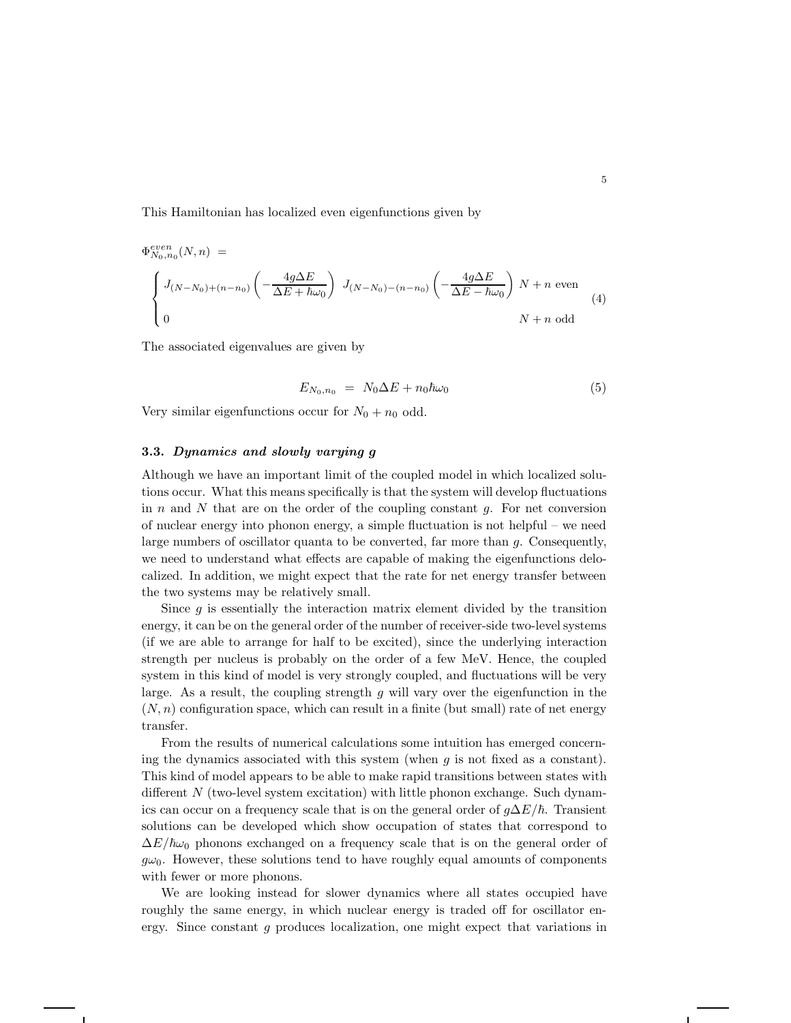This Hamiltonian has localized even eigenfunctions given by

$$
\Phi_{N_0,n_0}^{even}(N,n) =
$$
\n
$$
\begin{cases}\nJ_{(N-N_0)+(n-n_0)}\left(-\frac{4g\Delta E}{\Delta E+\hbar\omega_0}\right) J_{(N-N_0)-(n-n_0)}\left(-\frac{4g\Delta E}{\Delta E-\hbar\omega_0}\right) N+n \text{ even} \\
0 & N+n \text{ odd}\n\end{cases}
$$
\n(4)

The associated eigenvalues are given by

$$
E_{N_0,n_0} = N_0 \Delta E + n_0 \hbar \omega_0 \tag{5}
$$

Very similar eigenfunctions occur for  $N_0 + n_0$  odd.

## **3.3.** *Dynamics and slowly varying g*

Although we have an important limit of the coupled model in which localized solutions occur. What this means specifically is that the system will develop fluctuations in n and N that are on the order of the coupling constant  $g$ . For net conversion of nuclear energy into phonon energy, a simple fluctuation is not helpful – we need large numbers of oscillator quanta to be converted, far more than g. Consequently, we need to understand what effects are capable of making the eigenfunctions delocalized. In addition, we might expect that the rate for net energy transfer between the two systems may be relatively small.

Since  $g$  is essentially the interaction matrix element divided by the transition energy, it can be on the general order of the number of receiver-side two-level systems (if we are able to arrange for half to be excited), since the underlying interaction strength per nucleus is probably on the order of a few MeV. Hence, the coupled system in this kind of model is very strongly coupled, and fluctuations will be very large. As a result, the coupling strength  $g$  will vary over the eigenfunction in the  $(N, n)$  configuration space, which can result in a finite (but small) rate of net energy transfer.

From the results of numerical calculations some intuition has emerged concerning the dynamics associated with this system (when  $g$  is not fixed as a constant). This kind of model appears to be able to make rapid transitions between states with different N (two-level system excitation) with little phonon exchange. Such dynamics can occur on a frequency scale that is on the general order of  $g\Delta E/\hbar$ . Transient solutions can be developed which show occupation of states that correspond to  $\Delta E/\hbar\omega_0$  phonons exchanged on a frequency scale that is on the general order of  $g\omega_0$ . However, these solutions tend to have roughly equal amounts of components with fewer or more phonons.

We are looking instead for slower dynamics where all states occupied have roughly the same energy, in which nuclear energy is traded off for oscillator energy. Since constant  $q$  produces localization, one might expect that variations in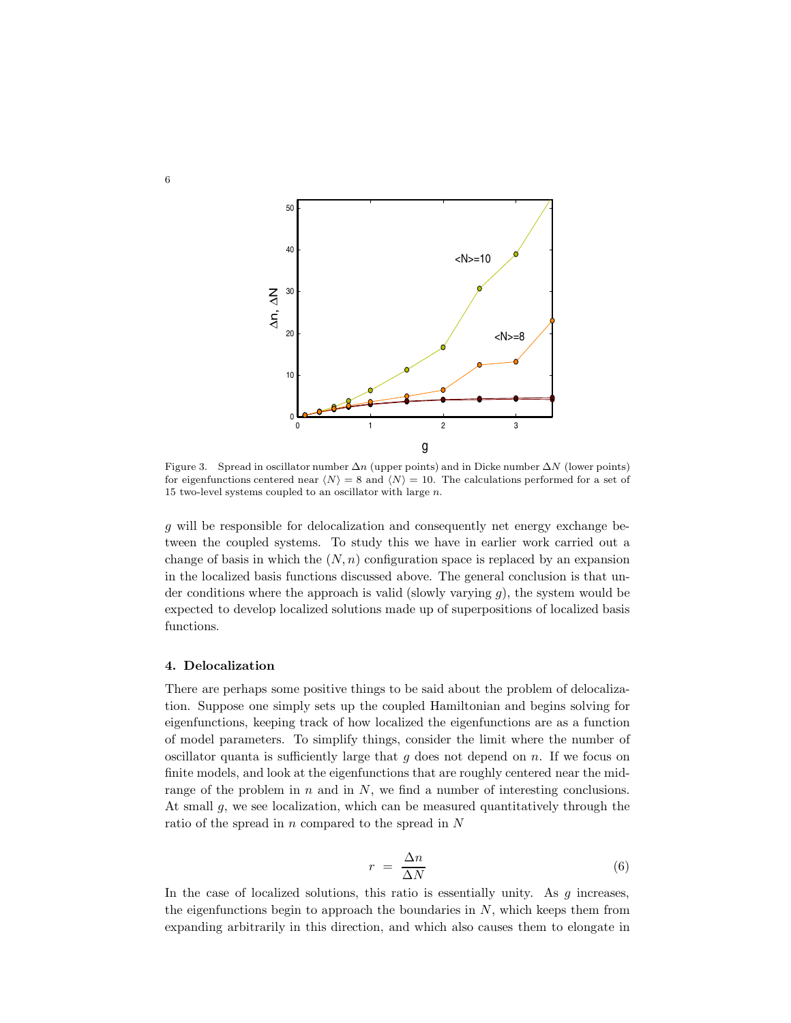

Figure 3. Spread in oscillator number  $\Delta n$  (upper points) and in Dicke number  $\Delta N$  (lower points) for eigenfunctions centered near  $\langle N \rangle = 8$  and  $\langle N \rangle = 10$ . The calculations performed for a set of 15 two-level systems coupled to an oscillator with large n.

g will be responsible for delocalization and consequently net energy exchange between the coupled systems. To study this we have in earlier work carried out a change of basis in which the  $(N, n)$  configuration space is replaced by an expansion in the localized basis functions discussed above. The general conclusion is that under conditions where the approach is valid (slowly varying  $q$ ), the system would be expected to develop localized solutions made up of superpositions of localized basis functions.

# **4. Delocalization**

There are perhaps some positive things to be said about the problem of delocalization. Suppose one simply sets up the coupled Hamiltonian and begins solving for eigenfunctions, keeping track of how localized the eigenfunctions are as a function of model parameters. To simplify things, consider the limit where the number of oscillator quanta is sufficiently large that q does not depend on  $n$ . If we focus on finite models, and look at the eigenfunctions that are roughly centered near the midrange of the problem in  $n$  and in  $N$ , we find a number of interesting conclusions. At small g, we see localization, which can be measured quantitatively through the ratio of the spread in  $n$  compared to the spread in  $N$ 

$$
r = \frac{\Delta n}{\Delta N} \tag{6}
$$

In the case of localized solutions, this ratio is essentially unity. As  $q$  increases, the eigenfunctions begin to approach the boundaries in  $N$ , which keeps them from expanding arbitrarily in this direction, and which also causes them to elongate in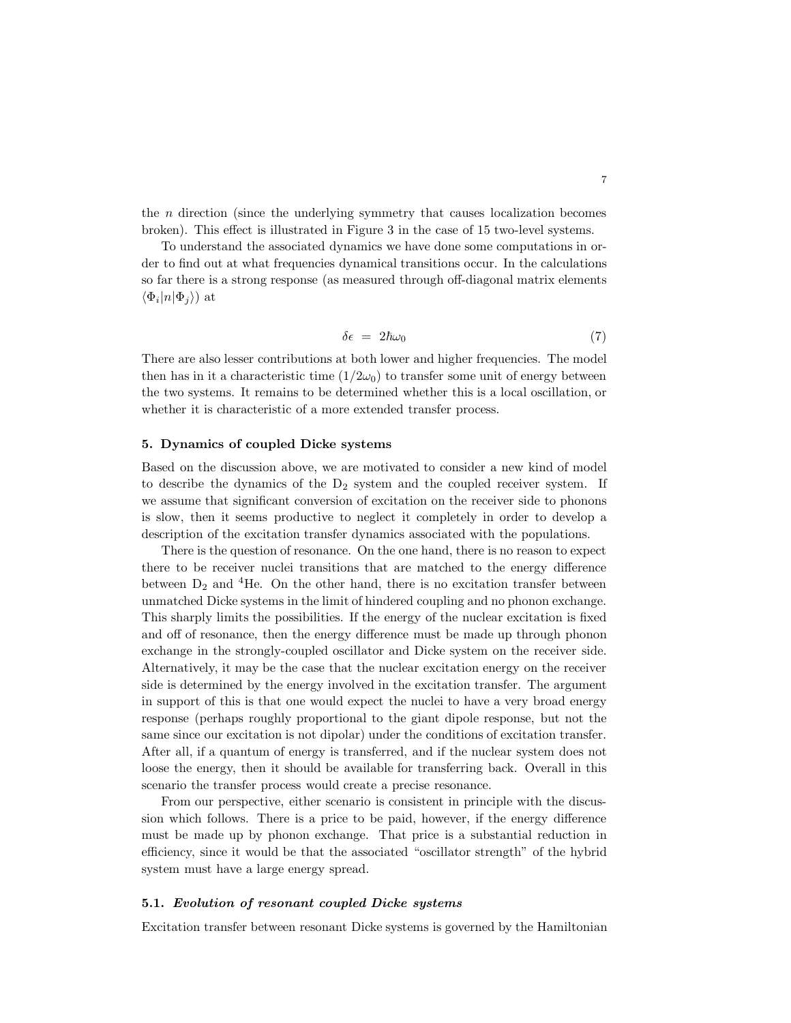the  $n$  direction (since the underlying symmetry that causes localization becomes broken). This effect is illustrated in Figure 3 in the case of 15 two-level systems.

To understand the associated dynamics we have done some computations in order to find out at what frequencies dynamical transitions occur. In the calculations so far there is a strong response (as measured through off-diagonal matrix elements  $\langle \Phi_i|n|\Phi_j\rangle$  at

$$
\delta \epsilon = 2\hbar \omega_0 \tag{7}
$$

There are also lesser contributions at both lower and higher frequencies. The model then has in it a characteristic time  $(1/2\omega_0)$  to transfer some unit of energy between the two systems. It remains to be determined whether this is a local oscillation, or whether it is characteristic of a more extended transfer process.

#### **5. Dynamics of coupled Dicke systems**

Based on the discussion above, we are motivated to consider a new kind of model to describe the dynamics of the  $D_2$  system and the coupled receiver system. If we assume that significant conversion of excitation on the receiver side to phonons is slow, then it seems productive to neglect it completely in order to develop a description of the excitation transfer dynamics associated with the populations.

There is the question of resonance. On the one hand, there is no reason to expect there to be receiver nuclei transitions that are matched to the energy difference between  $D_2$  and <sup>4</sup>He. On the other hand, there is no excitation transfer between unmatched Dicke systems in the limit of hindered coupling and no phonon exchange. This sharply limits the possibilities. If the energy of the nuclear excitation is fixed and off of resonance, then the energy difference must be made up through phonon exchange in the strongly-coupled oscillator and Dicke system on the receiver side. Alternatively, it may be the case that the nuclear excitation energy on the receiver side is determined by the energy involved in the excitation transfer. The argument in support of this is that one would expect the nuclei to have a very broad energy response (perhaps roughly proportional to the giant dipole response, but not the same since our excitation is not dipolar) under the conditions of excitation transfer. After all, if a quantum of energy is transferred, and if the nuclear system does not loose the energy, then it should be available for transferring back. Overall in this scenario the transfer process would create a precise resonance.

From our perspective, either scenario is consistent in principle with the discussion which follows. There is a price to be paid, however, if the energy difference must be made up by phonon exchange. That price is a substantial reduction in efficiency, since it would be that the associated "oscillator strength" of the hybrid system must have a large energy spread.

# **5.1.** *Evolution of resonant coupled Dicke systems*

Excitation transfer between resonant Dicke systems is governed by the Hamiltonian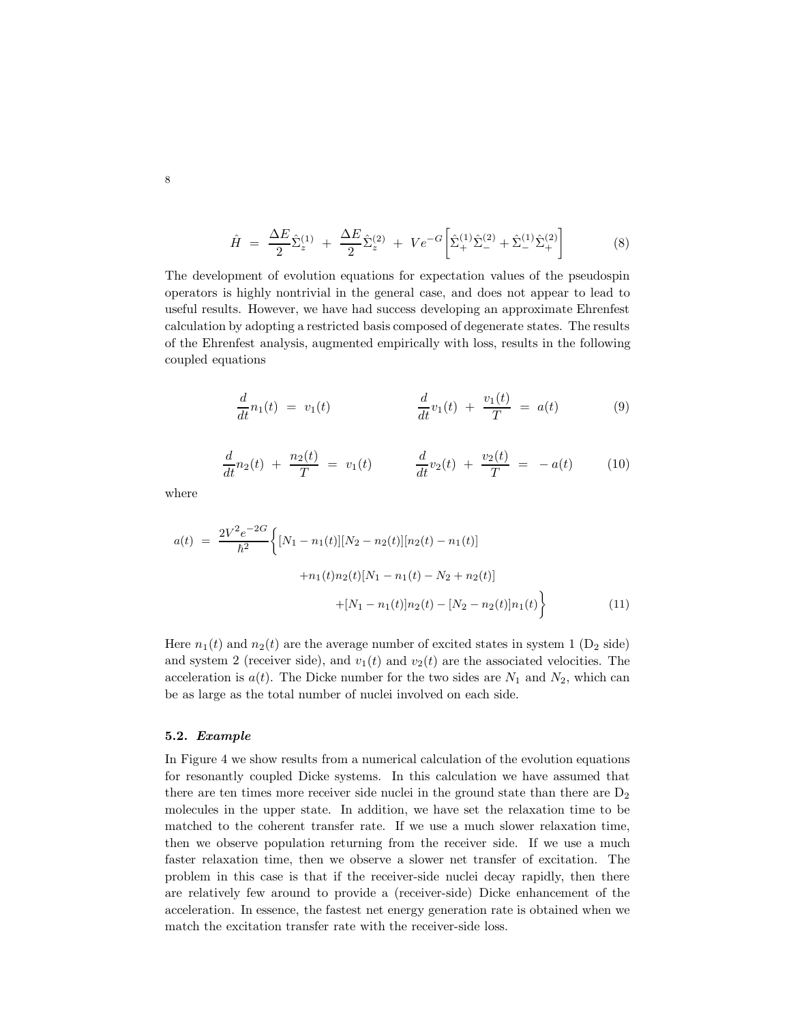$$
\hat{H} = \frac{\Delta E}{2} \hat{\Sigma}_z^{(1)} + \frac{\Delta E}{2} \hat{\Sigma}_z^{(2)} + V e^{-G} \left[ \hat{\Sigma}_+^{(1)} \hat{\Sigma}_-^{(2)} + \hat{\Sigma}_-^{(1)} \hat{\Sigma}_+^{(2)} \right] \tag{8}
$$

The development of evolution equations for expectation values of the pseudospin operators is highly nontrivial in the general case, and does not appear to lead to useful results. However, we have had success developing an approximate Ehrenfest calculation by adopting a restricted basis composed of degenerate states. The results of the Ehrenfest analysis, augmented empirically with loss, results in the following coupled equations

$$
\frac{d}{dt}n_1(t) = v_1(t) \qquad \qquad \frac{d}{dt}v_1(t) + \frac{v_1(t)}{T} = a(t) \qquad (9)
$$

$$
\frac{d}{dt}n_2(t) + \frac{n_2(t)}{T} = v_1(t) \qquad \frac{d}{dt}v_2(t) + \frac{v_2(t)}{T} = -a(t) \qquad (10)
$$

where

$$
a(t) = \frac{2V^2 e^{-2G}}{\hbar^2} \Biggl\{ [N_1 - n_1(t)][N_2 - n_2(t)][n_2(t) - n_1(t)] + n_1(t)n_2(t)[N_1 - n_1(t) - N_2 + n_2(t)] + [N_1 - n_1(t)]n_2(t) - [N_2 - n_2(t)]n_1(t) \Biggr\}
$$
(11)

Here  $n_1(t)$  and  $n_2(t)$  are the average number of excited states in system 1 (D<sub>2</sub> side) and system 2 (receiver side), and  $v_1(t)$  and  $v_2(t)$  are the associated velocities. The acceleration is  $a(t)$ . The Dicke number for the two sides are  $N_1$  and  $N_2$ , which can be as large as the total number of nuclei involved on each side.

#### **5.2.** *Example*

In Figure 4 we show results from a numerical calculation of the evolution equations for resonantly coupled Dicke systems. In this calculation we have assumed that there are ten times more receiver side nuclei in the ground state than there are  $D_2$ molecules in the upper state. In addition, we have set the relaxation time to be matched to the coherent transfer rate. If we use a much slower relaxation time, then we observe population returning from the receiver side. If we use a much faster relaxation time, then we observe a slower net transfer of excitation. The problem in this case is that if the receiver-side nuclei decay rapidly, then there are relatively few around to provide a (receiver-side) Dicke enhancement of the acceleration. In essence, the fastest net energy generation rate is obtained when we match the excitation transfer rate with the receiver-side loss.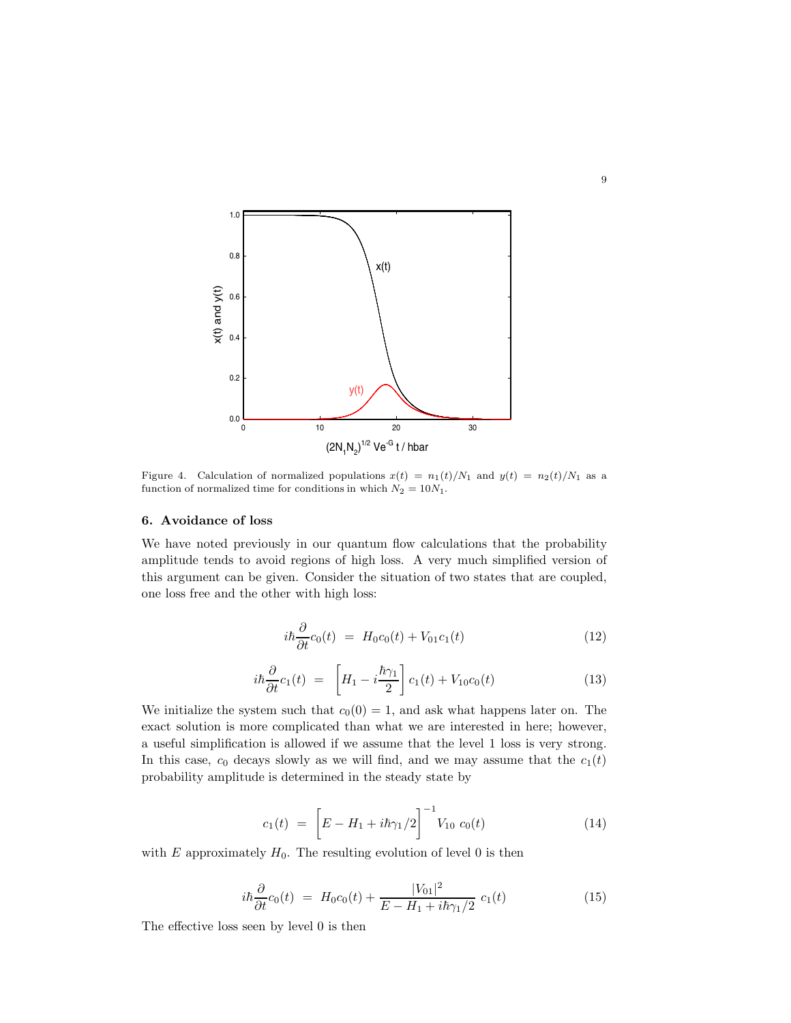

Figure 4. Calculation of normalized populations  $x(t) = n_1(t)/N_1$  and  $y(t) = n_2(t)/N_1$  as a function of normalized time for conditions in which  $N_2 = 10N_1$ .

# **6. Avoidance of loss**

We have noted previously in our quantum flow calculations that the probability amplitude tends to avoid regions of high loss. A very much simplified version of this argument can be given. Consider the situation of two states that are coupled, one loss free and the other with high loss:

$$
i\hbar \frac{\partial}{\partial t} c_0(t) = H_0 c_0(t) + V_{01} c_1(t) \tag{12}
$$

$$
i\hbar \frac{\partial}{\partial t} c_1(t) = \left[ H_1 - i \frac{\hbar \gamma_1}{2} \right] c_1(t) + V_{10} c_0(t) \tag{13}
$$

We initialize the system such that  $c_0(0) = 1$ , and ask what happens later on. The exact solution is more complicated than what we are interested in here; however, a useful simplification is allowed if we assume that the level 1 loss is very strong. In this case,  $c_0$  decays slowly as we will find, and we may assume that the  $c_1(t)$ probability amplitude is determined in the steady state by

$$
c_1(t) = \left[ E - H_1 + i\hbar \gamma_1/2 \right]^{-1} V_{10} \ c_0(t) \tag{14}
$$

with  $E$  approximately  $H_0$ . The resulting evolution of level 0 is then

$$
i\hbar \frac{\partial}{\partial t} c_0(t) = H_0 c_0(t) + \frac{|V_{01}|^2}{E - H_1 + i\hbar \gamma_1/2} c_1(t)
$$
\n(15)

The effective loss seen by level 0 is then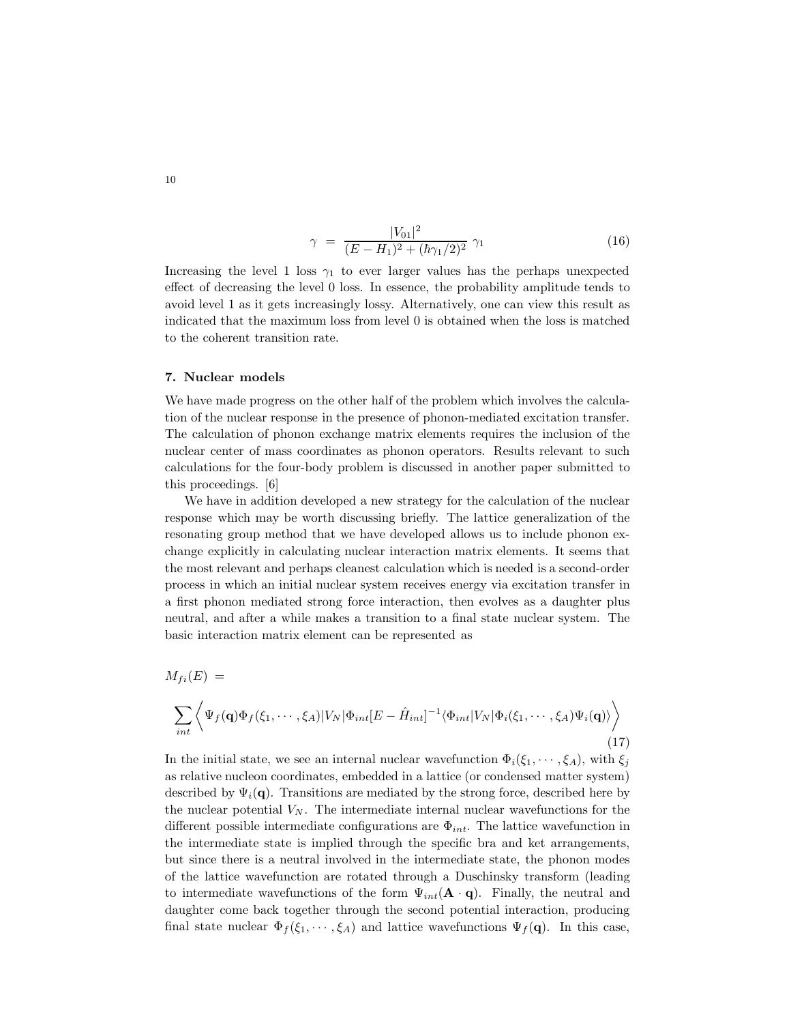$$
\gamma = \frac{|V_{01}|^2}{(E - H_1)^2 + (\hbar \gamma_1/2)^2} \gamma_1 \tag{16}
$$

Increasing the level 1 loss  $\gamma_1$  to ever larger values has the perhaps unexpected effect of decreasing the level 0 loss. In essence, the probability amplitude tends to avoid level 1 as it gets increasingly lossy. Alternatively, one can view this result as indicated that the maximum loss from level 0 is obtained when the loss is matched to the coherent transition rate.

# **7. Nuclear models**

We have made progress on the other half of the problem which involves the calculation of the nuclear response in the presence of phonon-mediated excitation transfer. The calculation of phonon exchange matrix elements requires the inclusion of the nuclear center of mass coordinates as phonon operators. Results relevant to such calculations for the four-body problem is discussed in another paper submitted to this proceedings. [6]

We have in addition developed a new strategy for the calculation of the nuclear response which may be worth discussing briefly. The lattice generalization of the resonating group method that we have developed allows us to include phonon exchange explicitly in calculating nuclear interaction matrix elements. It seems that the most relevant and perhaps cleanest calculation which is needed is a second-order process in which an initial nuclear system receives energy via excitation transfer in a first phonon mediated strong force interaction, then evolves as a daughter plus neutral, and after a while makes a transition to a final state nuclear system. The basic interaction matrix element can be represented as

$$
M_{fi}(E) = \left\langle \Psi_f(\mathbf{q}) \Phi_f(\xi_1, \cdots, \xi_A) | V_N | \Phi_{int}[E - \hat{H}_{int}]^{-1} \langle \Phi_{int} | V_N | \Phi_i(\xi_1, \cdots, \xi_A) \Psi_i(\mathbf{q}) \rangle \right\rangle
$$
\n(17)

In the initial state, we see an internal nuclear wavefunction  $\Phi_i(\xi_1, \dots, \xi_A)$ , with  $\xi_j$ as relative nucleon coordinates, embedded in a lattice (or condensed matter system) described by  $\Psi_i(\mathbf{q})$ . Transitions are mediated by the strong force, described here by the nuclear potential  $V_N$ . The intermediate internal nuclear wavefunctions for the different possible intermediate configurations are Φ*int*. The lattice wavefunction in the intermediate state is implied through the specific bra and ket arrangements, but since there is a neutral involved in the intermediate state, the phonon modes of the lattice wavefunction are rotated through a Duschinsky transform (leading to intermediate wavefunctions of the form  $\Psi_{int}(\mathbf{A} \cdot \mathbf{q})$ . Finally, the neutral and daughter come back together through the second potential interaction, producing final state nuclear  $\Phi_f(\xi_1, \dots, \xi_A)$  and lattice wavefunctions  $\Psi_f(\mathbf{q})$ . In this case,

10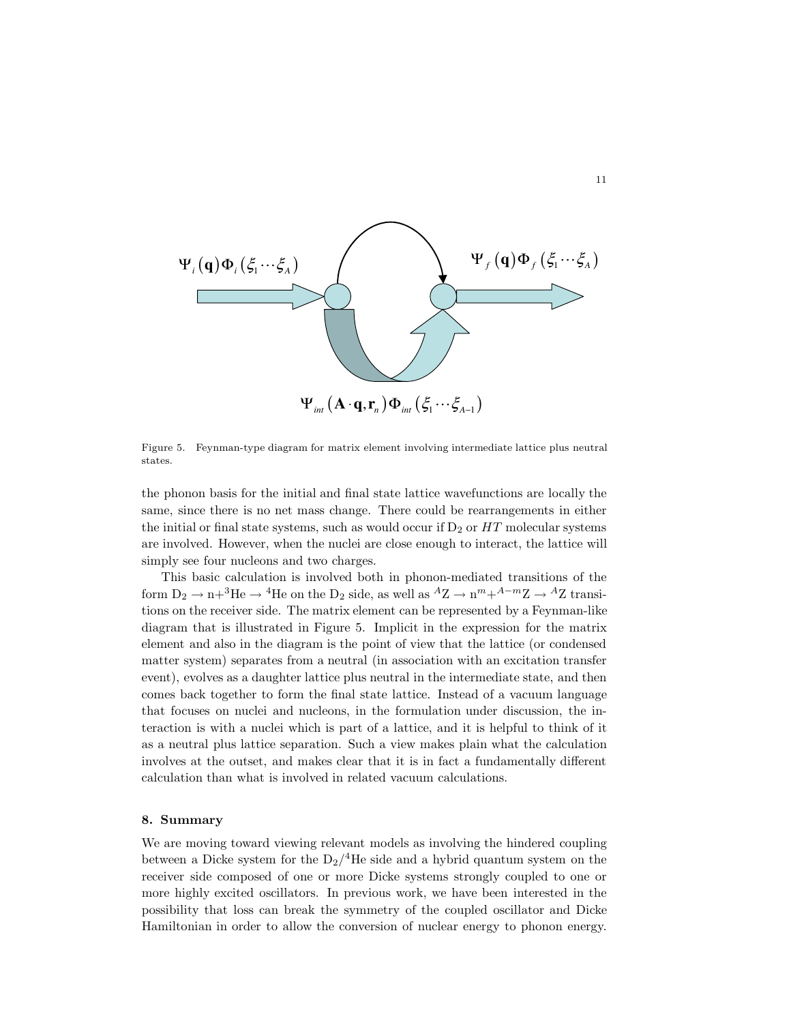

Figure 5. Feynman-type diagram for matrix element involving intermediate lattice plus neutral states.

the phonon basis for the initial and final state lattice wavefunctions are locally the same, since there is no net mass change. There could be rearrangements in either the initial or final state systems, such as would occur if  $D_2$  or HT molecular systems are involved. However, when the nuclei are close enough to interact, the lattice will simply see four nucleons and two charges.

This basic calculation is involved both in phonon-mediated transitions of the form  $D_2 \to n+{}^3He \to {}^4He$  on the  $D_2$  side, as well as  ${}^AZ \to n^m+{}^{A-m}Z \to {}^AZ$  transitions on the receiver side. The matrix element can be represented by a Feynman-like diagram that is illustrated in Figure 5. Implicit in the expression for the matrix element and also in the diagram is the point of view that the lattice (or condensed matter system) separates from a neutral (in association with an excitation transfer event), evolves as a daughter lattice plus neutral in the intermediate state, and then comes back together to form the final state lattice. Instead of a vacuum language that focuses on nuclei and nucleons, in the formulation under discussion, the interaction is with a nuclei which is part of a lattice, and it is helpful to think of it as a neutral plus lattice separation. Such a view makes plain what the calculation involves at the outset, and makes clear that it is in fact a fundamentally different calculation than what is involved in related vacuum calculations.

#### **8. Summary**

We are moving toward viewing relevant models as involving the hindered coupling between a Dicke system for the  $D_2/4$ He side and a hybrid quantum system on the receiver side composed of one or more Dicke systems strongly coupled to one or more highly excited oscillators. In previous work, we have been interested in the possibility that loss can break the symmetry of the coupled oscillator and Dicke Hamiltonian in order to allow the conversion of nuclear energy to phonon energy.